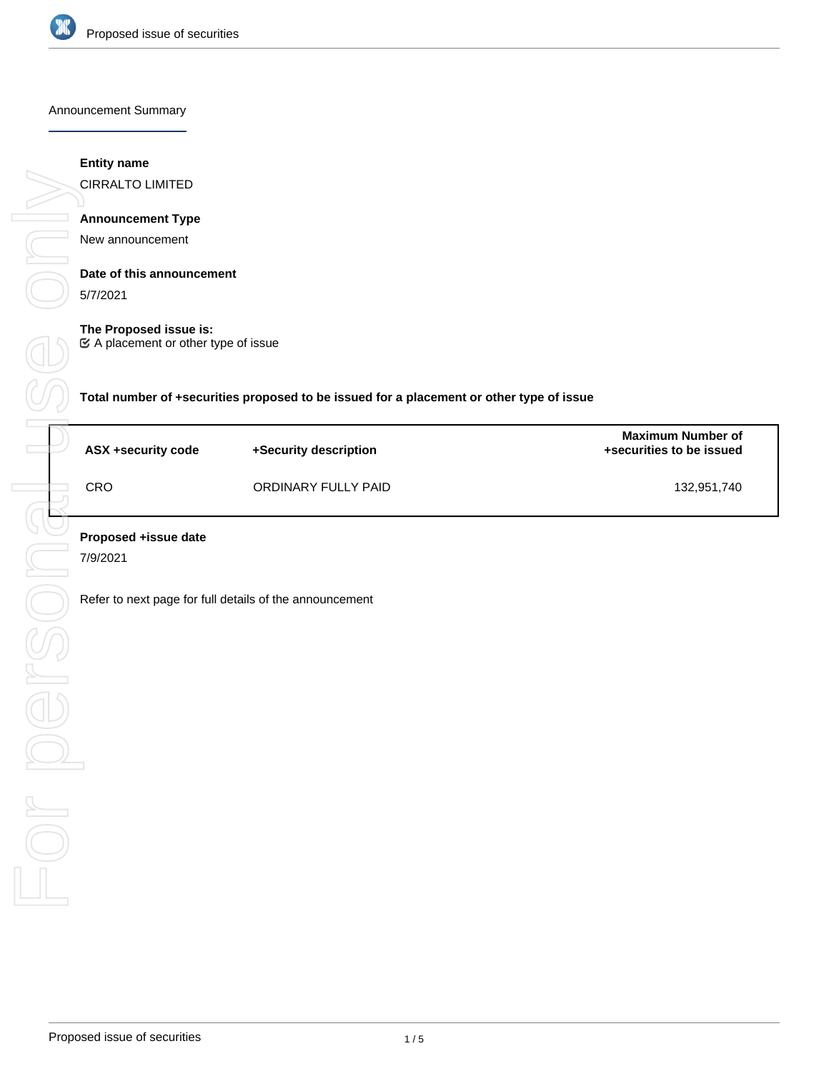

#### Announcement Summary

## **Entity name**

CIRRALTO LIMITED

## **Announcement Type**

New announcement

## **Date of this announcement**

5/7/2021

## **The Proposed issue is:**

A placement or other type of issue

**Total number of +securities proposed to be issued for a placement or other type of issue**

| ASX +security code | +Security description | <b>Maximum Number of</b><br>+securities to be issued |
|--------------------|-----------------------|------------------------------------------------------|
| CRO                | ORDINARY FULLY PAID   | 132,951,740                                          |

7/9/2021

Refer to next page for full details of the announcement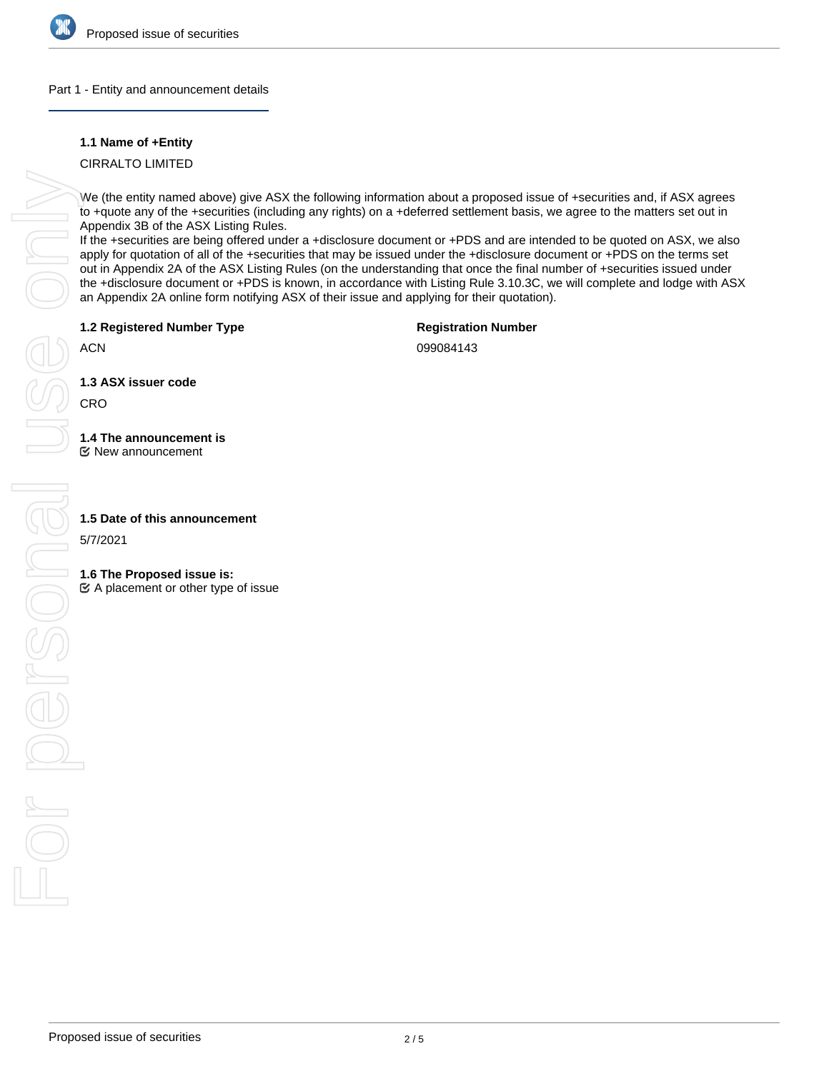

## Part 1 - Entity and announcement details

## **1.1 Name of +Entity**

CIRRALTO LIMITED

We (the entity named above) give ASX the following information about a proposed issue of +securities and, if ASX agrees to +quote any of the +securities (including any rights) on a +deferred settlement basis, we agree to the matters set out in Appendix 3B of the ASX Listing Rules.

If the +securities are being offered under a +disclosure document or +PDS and are intended to be quoted on ASX, we also apply for quotation of all of the +securities that may be issued under the +disclosure document or +PDS on the terms set out in Appendix 2A of the ASX Listing Rules (on the understanding that once the final number of +securities issued under the +disclosure document or +PDS is known, in accordance with Listing Rule 3.10.3C, we will complete and lodge with ASX an Appendix 2A online form notifying ASX of their issue and applying for their quotation).

**1.2 Registered Number Type**

**Registration Number**

ACN

099084143

**1.3 ASX issuer code**

CRO

# **1.4 The announcement is**

New announcement

5/7/2021

## **1.6 The Proposed issue is:**

 $\mathfrak{C}$  A placement or other type of issue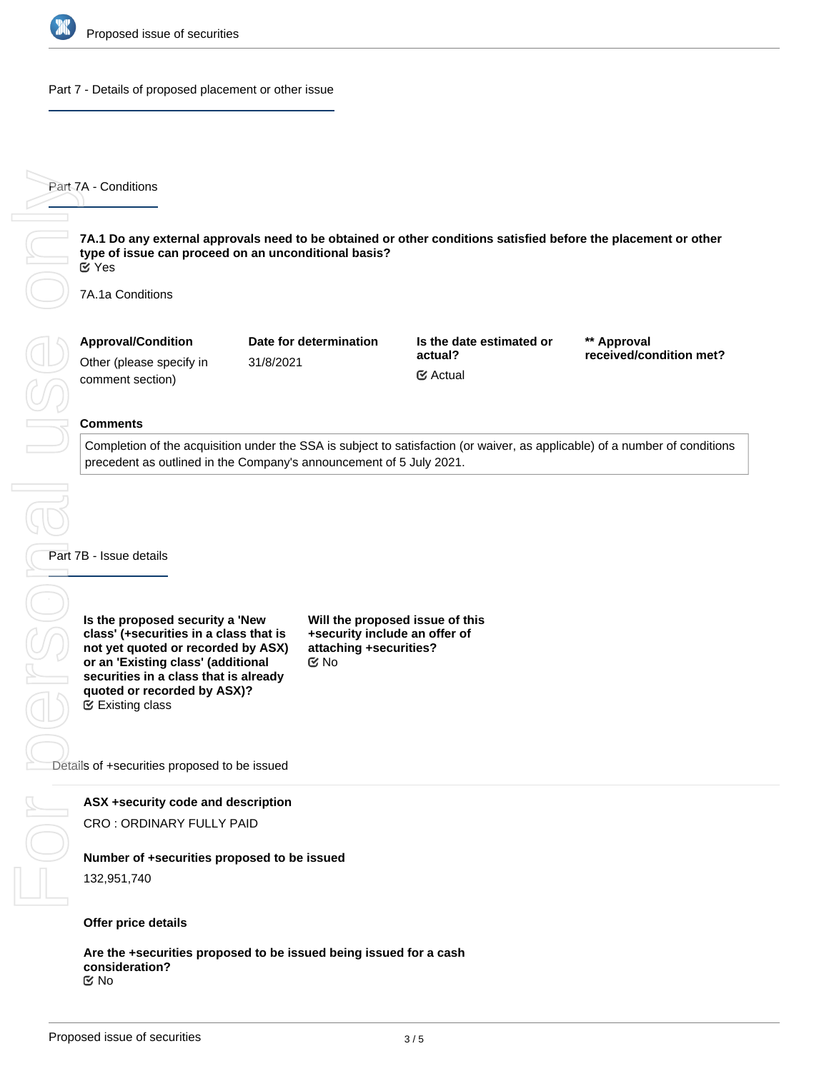

#### Part 7 - Details of proposed placement or other issue

**7A.1 Do any external approvals need to be obtained or other conditions satisfied before the placement or other type of issue can proceed on an unconditional basis?** Yes

7A.1a Conditions

| <b>Approval/Condition</b> | Date for determination | Is the date estimated or | ** Approval             |
|---------------------------|------------------------|--------------------------|-------------------------|
| Other (please specify in  | 31/8/2021              | actual?                  | received/condition met? |
| comment section)          |                        | <b></b> ∉ Actual         |                         |

#### **Comments**

Completion of the acquisition under the SSA is subject to satisfaction (or waiver, as applicable) of a number of conditions precedent as outlined in the Company's announcement of 5 July 2021.

Part 7B - Issue details

**Is the proposed security a 'New class' (+securities in a class that is not yet quoted or recorded by ASX) or an 'Existing class' (additional securities in a class that is already quoted or recorded by ASX)?** Existing class

**Will the proposed issue of this +security include an offer of attaching +securities?** No

Details of +securities proposed to be issued

## **ASX +security code and description**

CRO : ORDINARY FULLY PAID

#### **Number of +securities proposed to be issued**

132,951,740

## **Offer price details**

**Are the +securities proposed to be issued being issued for a cash consideration?** No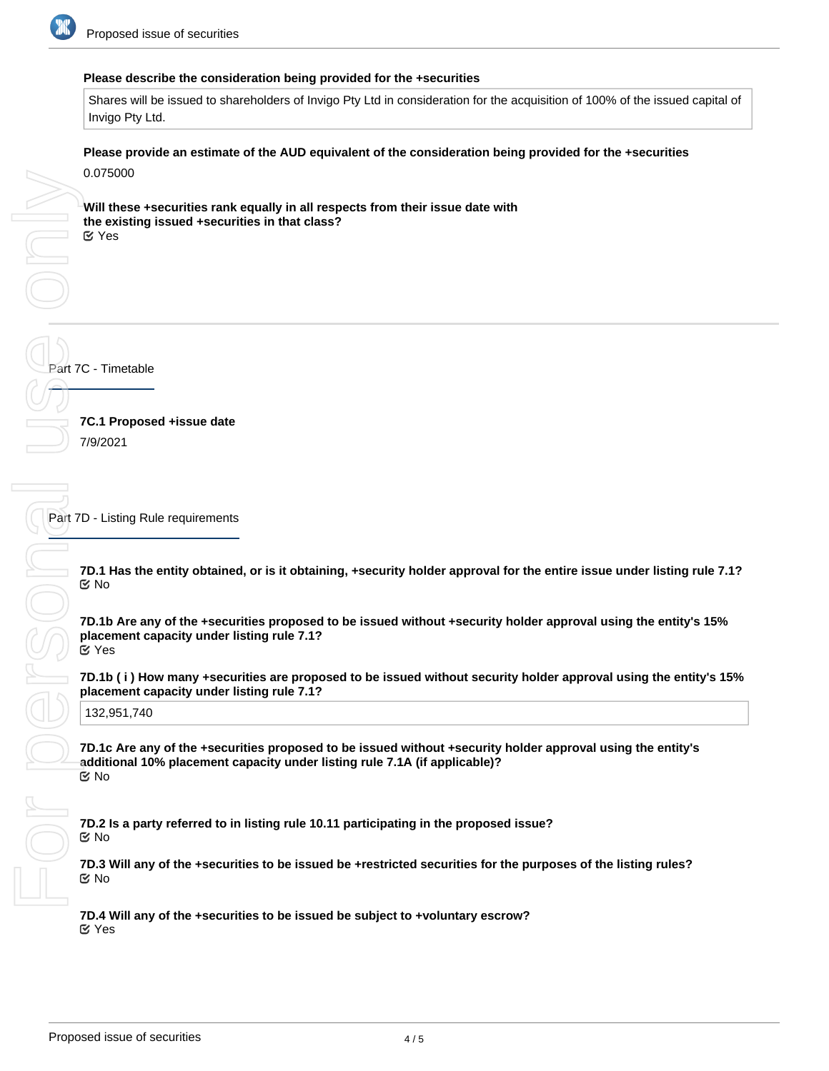

#### **Please describe the consideration being provided for the +securities**

Shares will be issued to shareholders of Invigo Pty Ltd in consideration for the acquisition of 100% of the issued capital of Invigo Pty Ltd.

**Please provide an estimate of the AUD equivalent of the consideration being provided for the +securities**

0.075000

**Will these +securities rank equally in all respects from their issue date with the existing issued +securities in that class?** Yes

**7C.1 Proposed +issue date** 7/9/2021

Part 7D - Listing Rule requirements

**7D.1 Has the entity obtained, or is it obtaining, +security holder approval for the entire issue under listing rule 7.1?** No

**7D.1b Are any of the +securities proposed to be issued without +security holder approval using the entity's 15% placement capacity under listing rule 7.1?** Yes

**7D.1b ( i ) How many +securities are proposed to be issued without security holder approval using the entity's 15% placement capacity under listing rule 7.1?**

132,951,740

**7D.1c Are any of the +securities proposed to be issued without +security holder approval using the entity's additional 10% placement capacity under listing rule 7.1A (if applicable)?** No

**7D.2 Is a party referred to in listing rule 10.11 participating in the proposed issue?** No

**7D.3 Will any of the +securities to be issued be +restricted securities for the purposes of the listing rules?** No

**7D.4 Will any of the +securities to be issued be subject to +voluntary escrow?** Yes